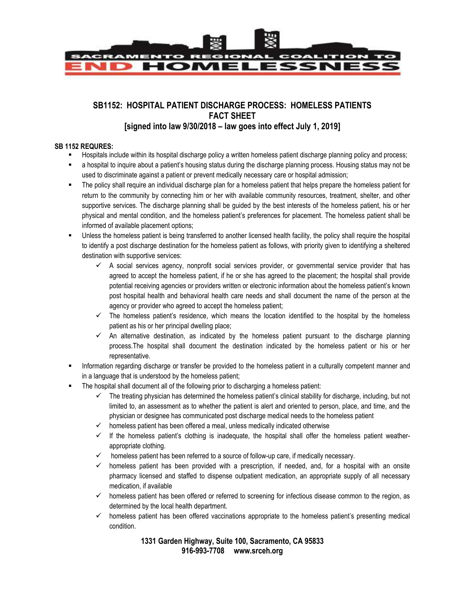

## **SB1152: HOSPITAL PATIENT DISCHARGE PROCESS: HOMELESS PATIENTS FACT SHEET [signed into law 9/30/2018 – law goes into effect July 1, 2019]**

## **SB 1152 REQURES:**

- **Hospitals include within its hospital discharge policy a written homeless patient discharge planning policy and process;**
- a hospital to inquire about a patient's housing status during the discharge planning process. Housing status may not be used to discriminate against a patient or prevent medically necessary care or hospital admission;
- The policy shall require an individual discharge plan for a homeless patient that helps prepare the homeless patient for return to the community by connecting him or her with available community resources, treatment, shelter, and other supportive services. The discharge planning shall be guided by the best interests of the homeless patient, his or her physical and mental condition, and the homeless patient's preferences for placement. The homeless patient shall be informed of available placement options;
- Unless the homeless patient is being transferred to another licensed health facility, the policy shall require the hospital to identify a post discharge destination for the homeless patient as follows, with priority given to identifying a sheltered destination with supportive services:
	- $\checkmark$  A social services agency, nonprofit social services provider, or governmental service provider that has agreed to accept the homeless patient, if he or she has agreed to the placement; the hospital shall provide potential receiving agencies or providers written or electronic information about the homeless patient's known post hospital health and behavioral health care needs and shall document the name of the person at the agency or provider who agreed to accept the homeless patient;
	- $\checkmark$  The homeless patient's residence, which means the location identified to the hospital by the homeless patient as his or her principal dwelling place;
	- $\checkmark$  An alternative destination, as indicated by the homeless patient pursuant to the discharge planning process.The hospital shall document the destination indicated by the homeless patient or his or her representative.
- Information regarding discharge or transfer be provided to the homeless patient in a culturally competent manner and in a language that is understood by the homeless patient;
- The hospital shall document all of the following prior to discharging a homeless patient:
	- $\checkmark$  The treating physician has determined the homeless patient's clinical stability for discharge, including, but not limited to, an assessment as to whether the patient is alert and oriented to person, place, and time, and the physician or designee has communicated post discharge medical needs to the homeless patient
	- $\checkmark$  homeless patient has been offered a meal, unless medically indicated otherwise
	- $\checkmark$  If the homeless patient's clothing is inadequate, the hospital shall offer the homeless patient weatherappropriate clothing.
	- homeless patient has been referred to a source of follow-up care, if medically necessary.
	- $\checkmark$  homeless patient has been provided with a prescription, if needed, and, for a hospital with an onsite pharmacy licensed and staffed to dispense outpatient medication, an appropriate supply of all necessary medication, if available
	- $\checkmark$  homeless patient has been offered or referred to screening for infectious disease common to the region, as determined by the local health department.
	- $\checkmark$  homeless patient has been offered vaccinations appropriate to the homeless patient's presenting medical condition.

**1331 Garden Highway, Suite 100, Sacramento, CA 95833 916-993-7708 www.srceh.org**